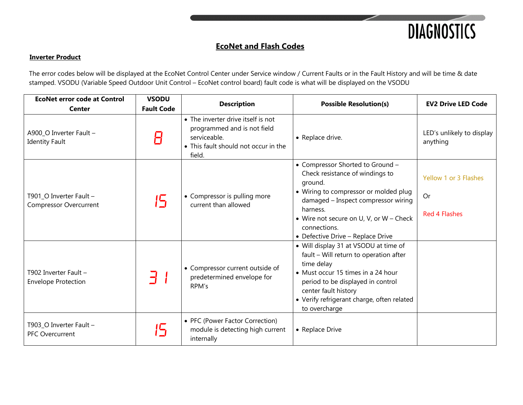

### **Inverter Product**

The error codes below will be displayed at the EcoNet Control Center under Service window / Current Faults or in the Fault History and will be time & date stamped. VSODU (Variable Speed Outdoor Unit Control – EcoNet control board) fault code is what will be displayed on the VSODU

| <b>EcoNet error code at Control</b><br><b>Center</b>     | <b>VSODU</b><br><b>Fault Code</b> | <b>Description</b>                                                                                                                  | <b>Possible Resolution(s)</b>                                                                                                                                                                                                                                              | <b>EV2 Drive LED Code</b>                           |
|----------------------------------------------------------|-----------------------------------|-------------------------------------------------------------------------------------------------------------------------------------|----------------------------------------------------------------------------------------------------------------------------------------------------------------------------------------------------------------------------------------------------------------------------|-----------------------------------------------------|
| A900_O Inverter Fault -<br><b>Identity Fault</b>         |                                   | • The inverter drive itself is not<br>programmed and is not field<br>serviceable.<br>• This fault should not occur in the<br>field. | • Replace drive.                                                                                                                                                                                                                                                           | LED's unlikely to display<br>anything               |
| T901 O Inverter Fault -<br><b>Compressor Overcurrent</b> | 15                                | • Compressor is pulling more<br>current than allowed                                                                                | • Compressor Shorted to Ground -<br>Check resistance of windings to<br>ground.<br>• Wiring to compressor or molded plug<br>damaged - Inspect compressor wiring<br>harness.<br>• Wire not secure on U, V, or W - Check<br>connections.<br>• Defective Drive - Replace Drive | Yellow 1 or 3 Flashes<br>Or<br><b>Red 4 Flashes</b> |
| T902 Inverter Fault -<br><b>Envelope Protection</b>      |                                   | • Compressor current outside of<br>predetermined envelope for<br>RPM's                                                              | • Will display 31 at VSODU at time of<br>fault - Will return to operation after<br>time delay<br>• Must occur 15 times in a 24 hour<br>period to be displayed in control<br>center fault history<br>• Verify refrigerant charge, often related<br>to overcharge            |                                                     |
| T903_O Inverter Fault -<br><b>PFC Overcurrent</b>        | $\mathbf{L}_{\mathbf{L}}$         | • PFC (Power Factor Correction)<br>module is detecting high current<br>internally                                                   | • Replace Drive                                                                                                                                                                                                                                                            |                                                     |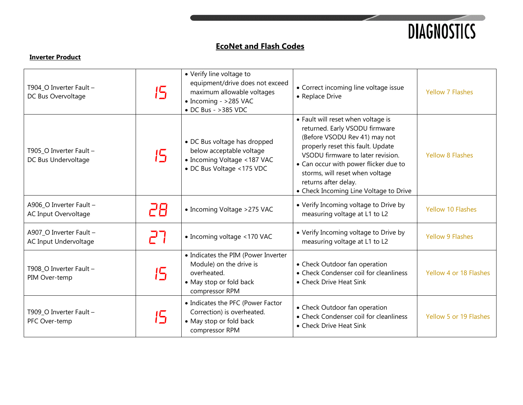

| T904_O Inverter Fault -<br>DC Bus Overvoltage    | 15 | • Verify line voltage to<br>equipment/drive does not exceed<br>maximum allowable voltages<br>• Incoming - >285 VAC<br>• DC Bus - >385 VDC | • Correct incoming line voltage issue<br>• Replace Drive                                                                                                                                                                                                                                                                      | <b>Yellow 7 Flashes</b>  |
|--------------------------------------------------|----|-------------------------------------------------------------------------------------------------------------------------------------------|-------------------------------------------------------------------------------------------------------------------------------------------------------------------------------------------------------------------------------------------------------------------------------------------------------------------------------|--------------------------|
| T905_O Inverter Fault -<br>DC Bus Undervoltage   | 15 | • DC Bus voltage has dropped<br>below acceptable voltage<br>• Incoming Voltage <187 VAC<br>• DC Bus Voltage <175 VDC                      | • Fault will reset when voltage is<br>returned. Early VSODU firmware<br>(Before VSODU Rev 41) may not<br>properly reset this fault. Update<br>VSODU firmware to later revision.<br>• Can occur with power flicker due to<br>storms, will reset when voltage<br>returns after delay.<br>• Check Incoming Line Voltage to Drive | <b>Yellow 8 Flashes</b>  |
| A906_O Inverter Fault -<br>AC Input Overvoltage  | 28 | • Incoming Voltage > 275 VAC                                                                                                              | • Verify Incoming voltage to Drive by<br>measuring voltage at L1 to L2                                                                                                                                                                                                                                                        | <b>Yellow 10 Flashes</b> |
| A907_O Inverter Fault -<br>AC Input Undervoltage | 77 | • Incoming voltage <170 VAC                                                                                                               | • Verify Incoming voltage to Drive by<br>measuring voltage at L1 to L2                                                                                                                                                                                                                                                        | <b>Yellow 9 Flashes</b>  |
| T908_O Inverter Fault -<br>PIM Over-temp         | 15 | • Indicates the PIM (Power Inverter<br>Module) on the drive is<br>overheated.<br>• May stop or fold back<br>compressor RPM                | • Check Outdoor fan operation<br>• Check Condenser coil for cleanliness<br>• Check Drive Heat Sink                                                                                                                                                                                                                            | Yellow 4 or 18 Flashes   |
| T909_O Inverter Fault -<br>PFC Over-temp         | 15 | • Indicates the PFC (Power Factor<br>Correction) is overheated.<br>• May stop or fold back<br>compressor RPM                              | • Check Outdoor fan operation<br>• Check Condenser coil for cleanliness<br>• Check Drive Heat Sink                                                                                                                                                                                                                            | Yellow 5 or 19 Flashes   |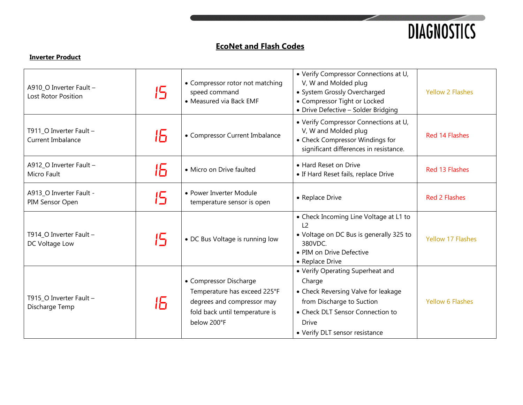

| A910_O Inverter Fault -<br>Lost Rotor Position | 15 | • Compressor rotor not matching<br>speed command<br>• Measured via Back EMF                                                           | • Verify Compressor Connections at U,<br>V, W and Molded plug<br>• System Grossly Overcharged<br>• Compressor Tight or Locked<br>• Drive Defective - Solder Bridging                                 | <b>Yellow 2 Flashes</b>  |
|------------------------------------------------|----|---------------------------------------------------------------------------------------------------------------------------------------|------------------------------------------------------------------------------------------------------------------------------------------------------------------------------------------------------|--------------------------|
| T911_O Inverter Fault -<br>Current Imbalance   | 16 | • Compressor Current Imbalance                                                                                                        | • Verify Compressor Connections at U,<br>V, W and Molded plug<br>• Check Compressor Windings for<br>significant differences in resistance.                                                           | Red 14 Flashes           |
| A912_O Inverter Fault -<br>Micro Fault         | lБ | · Micro on Drive faulted                                                                                                              | • Hard Reset on Drive<br>• If Hard Reset fails, replace Drive                                                                                                                                        | Red 13 Flashes           |
| A913_O Inverter Fault -<br>PIM Sensor Open     | 15 | • Power Inverter Module<br>temperature sensor is open                                                                                 | • Replace Drive                                                                                                                                                                                      | <b>Red 2 Flashes</b>     |
| T914_O Inverter Fault -<br>DC Voltage Low      | 15 | • DC Bus Voltage is running low                                                                                                       | • Check Incoming Line Voltage at L1 to<br>$\sqrt{2}$<br>• Voltage on DC Bus is generally 325 to<br>380VDC.<br>• PIM on Drive Defective<br>• Replace Drive                                            | <b>Yellow 17 Flashes</b> |
| T915 O Inverter Fault -<br>Discharge Temp      | 15 | • Compressor Discharge<br>Temperature has exceed 225°F<br>degrees and compressor may<br>fold back until temperature is<br>below 200°F | • Verify Operating Superheat and<br>Charge<br>• Check Reversing Valve for leakage<br>from Discharge to Suction<br>• Check DLT Sensor Connection to<br><b>Drive</b><br>• Verify DLT sensor resistance | <b>Yellow 6 Flashes</b>  |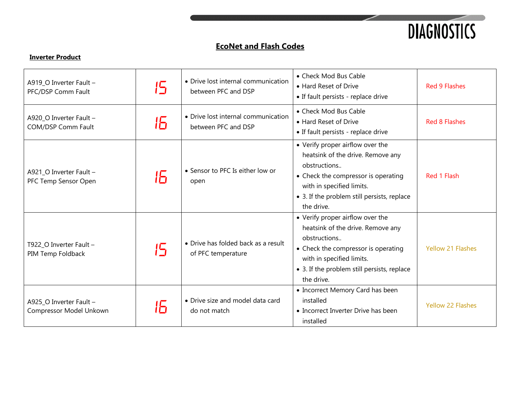

| A919_O Inverter Fault -<br>PFC/DSP Comm Fault      | 15             | • Drive lost internal communication<br>between PFC and DSP | • Check Mod Bus Cable<br>• Hard Reset of Drive<br>• If fault persists - replace drive                                                                                                                                  | <b>Red 9 Flashes</b>     |
|----------------------------------------------------|----------------|------------------------------------------------------------|------------------------------------------------------------------------------------------------------------------------------------------------------------------------------------------------------------------------|--------------------------|
| A920_O Inverter Fault -<br>COM/DSP Comm Fault      | 16             | • Drive lost internal communication<br>between PFC and DSP | • Check Mod Bus Cable<br>• Hard Reset of Drive<br>• If fault persists - replace drive                                                                                                                                  | <b>Red 8 Flashes</b>     |
| A921_O Inverter Fault -<br>PFC Temp Sensor Open    | lБ             | • Sensor to PFC Is either low or<br>open                   | • Verify proper airflow over the<br>heatsink of the drive. Remove any<br>obstructions<br>• Check the compressor is operating<br>with in specified limits.<br>• 3. If the problem still persists, replace<br>the drive. | Red 1 Flash              |
| T922_O Inverter Fault -<br>PIM Temp Foldback       | $\mathfrak{l}$ | • Drive has folded back as a result<br>of PFC temperature  | • Verify proper airflow over the<br>heatsink of the drive. Remove any<br>obstructions<br>• Check the compressor is operating<br>with in specified limits.<br>• 3. If the problem still persists, replace<br>the drive. | <b>Yellow 21 Flashes</b> |
| A925_O Inverter Fault -<br>Compressor Model Unkown | lБ             | • Drive size and model data card<br>do not match           | • Incorrect Memory Card has been<br>installed<br>• Incorrect Inverter Drive has been<br>installed                                                                                                                      | <b>Yellow 22 Flashes</b> |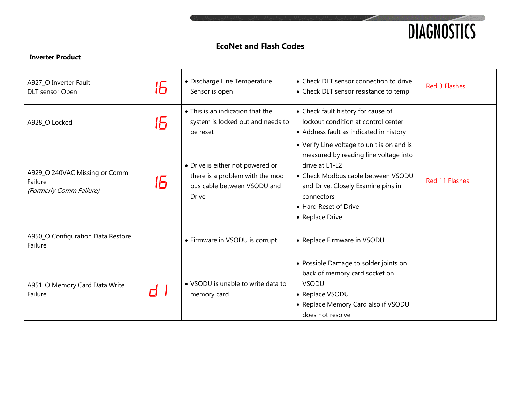

| A927_O Inverter Fault -<br>DLT sensor Open                          | 15 | • Discharge Line Temperature<br>Sensor is open                                                                     | • Check DLT sensor connection to drive<br>• Check DLT sensor resistance to temp                                                                                                                                                             | <b>Red 3 Flashes</b> |
|---------------------------------------------------------------------|----|--------------------------------------------------------------------------------------------------------------------|---------------------------------------------------------------------------------------------------------------------------------------------------------------------------------------------------------------------------------------------|----------------------|
| A928_O Locked                                                       | 16 | • This is an indication that the<br>system is locked out and needs to<br>be reset                                  | • Check fault history for cause of<br>lockout condition at control center<br>• Address fault as indicated in history                                                                                                                        |                      |
| A929_O 240VAC Missing or Comm<br>Failure<br>(Formerly Comm Failure) | lБ | • Drive is either not powered or<br>there is a problem with the mod<br>bus cable between VSODU and<br><b>Drive</b> | • Verify Line voltage to unit is on and is<br>measured by reading line voltage into<br>drive at L1-L2<br>• Check Modbus cable between VSODU<br>and Drive. Closely Examine pins in<br>connectors<br>• Hard Reset of Drive<br>• Replace Drive | Red 11 Flashes       |
| A950_O Configuration Data Restore<br>Failure                        |    | • Firmware in VSODU is corrupt                                                                                     | • Replace Firmware in VSODU                                                                                                                                                                                                                 |                      |
| A951_O Memory Card Data Write<br>Failure                            |    | • VSODU is unable to write data to<br>memory card                                                                  | • Possible Damage to solder joints on<br>back of memory card socket on<br><b>VSODU</b><br>• Replace VSODU<br>• Replace Memory Card also if VSODU<br>does not resolve                                                                        |                      |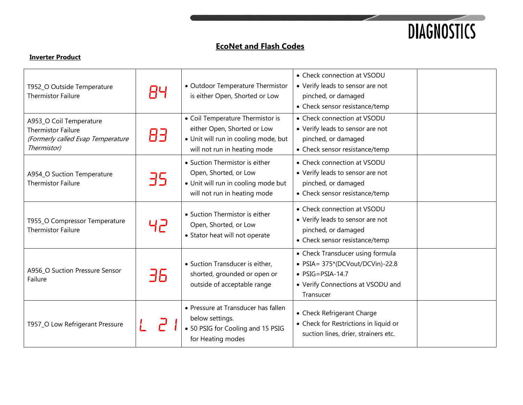

| T952_O Outside Temperature<br><b>Thermistor Failure</b>                                                  | 84 | • Outdoor Temperature Thermistor<br>is either Open, Shorted or Low                                                                      | • Check connection at VSODU<br>• Verify leads to sensor are not<br>pinched, or damaged<br>• Check sensor resistance/temp                               |  |
|----------------------------------------------------------------------------------------------------------|----|-----------------------------------------------------------------------------------------------------------------------------------------|--------------------------------------------------------------------------------------------------------------------------------------------------------|--|
| A953_O Coil Temperature<br><b>Thermistor Failure</b><br>(Formerly called Evap Temperature<br>Thermistor) | 83 | • Coil Temperature Thermistor is<br>either Open, Shorted or Low<br>· Unit will run in cooling mode, but<br>will not run in heating mode | • Check connection at VSODU<br>• Verify leads to sensor are not<br>pinched, or damaged<br>• Check sensor resistance/temp                               |  |
| A954_O Suction Temperature<br><b>Thermistor Failure</b>                                                  | 35 | • Suction Thermistor is either<br>Open, Shorted, or Low<br>· Unit will run in cooling mode but<br>will not run in heating mode          | • Check connection at VSODU<br>• Verify leads to sensor are not<br>pinched, or damaged<br>• Check sensor resistance/temp                               |  |
| T955_O Compressor Temperature<br><b>Thermistor Failure</b>                                               | 니근 | • Suction Thermistor is either<br>Open, Shorted, or Low<br>• Stator heat will not operate                                               | • Check connection at VSODU<br>• Verify leads to sensor are not<br>pinched, or damaged<br>• Check sensor resistance/temp                               |  |
| A956_O Suction Pressure Sensor<br>Failure                                                                | 36 | • Suction Transducer is either,<br>shorted, grounded or open or<br>outside of acceptable range                                          | • Check Transducer using formula<br>• $PSIA = 375*(DCVout/DCVin) - 22.8$<br>$\bullet$ PSIG=PSIA-14.7<br>• Verify Connections at VSODU and<br>Transucer |  |
| T957_O Low Refrigerant Pressure                                                                          |    | • Pressure at Transducer has fallen<br>below settings.<br>• 50 PSIG for Cooling and 15 PSIG<br>for Heating modes                        | • Check Refrigerant Charge<br>• Check for Restrictions in liquid or<br>suction lines, drier, strainers etc.                                            |  |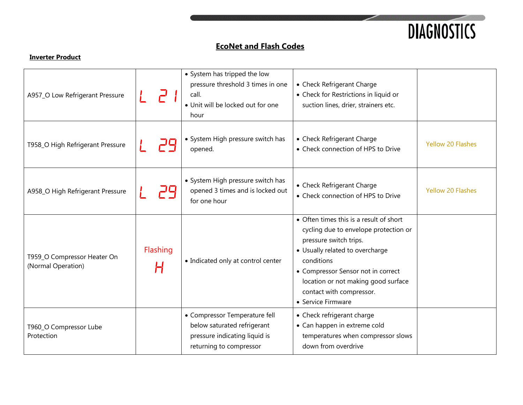

| A957_O Low Refrigerant Pressure                   |               | • System has tripped the low<br>pressure threshold 3 times in one<br>call.<br>· Unit will be locked out for one<br>hour  | • Check Refrigerant Charge<br>• Check for Restrictions in liquid or<br>suction lines, drier, strainers etc.                                                                                                                                                                                |                          |
|---------------------------------------------------|---------------|--------------------------------------------------------------------------------------------------------------------------|--------------------------------------------------------------------------------------------------------------------------------------------------------------------------------------------------------------------------------------------------------------------------------------------|--------------------------|
| T958_O High Refrigerant Pressure                  |               | • System High pressure switch has<br>opened.                                                                             | • Check Refrigerant Charge<br>• Check connection of HPS to Drive                                                                                                                                                                                                                           | <b>Yellow 20 Flashes</b> |
| A958_O High Refrigerant Pressure                  |               | • System High pressure switch has<br>opened 3 times and is locked out<br>for one hour                                    | • Check Refrigerant Charge<br>• Check connection of HPS to Drive                                                                                                                                                                                                                           | <b>Yellow 20 Flashes</b> |
| T959_O Compressor Heater On<br>(Normal Operation) | Flashing<br>H | • Indicated only at control center                                                                                       | • Often times this is a result of short<br>cycling due to envelope protection or<br>pressure switch trips.<br>• Usually related to overcharge<br>conditions<br>• Compressor Sensor not in correct<br>location or not making good surface<br>contact with compressor.<br>• Service Firmware |                          |
| T960_O Compressor Lube<br>Protection              |               | • Compressor Temperature fell<br>below saturated refrigerant<br>pressure indicating liquid is<br>returning to compressor | • Check refrigerant charge<br>• Can happen in extreme cold<br>temperatures when compressor slows<br>down from overdrive                                                                                                                                                                    |                          |